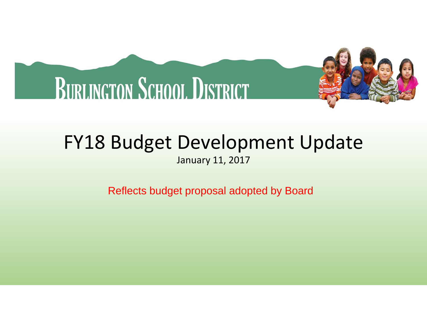

# FY18 Budget Development Update

January 11, 2017

Reflects budget proposal adopted by Board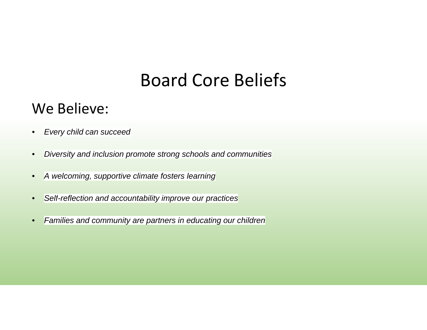### Board Core Beliefs

### We Believe:

- •Every child can succeed
- $\bullet$ Diversity and inclusion promote strong schools and communities
- •A welcoming, supportive climate fosters learning
- •Selt-reflection and accountability improve our practices
- •Families and community are partners in educating our children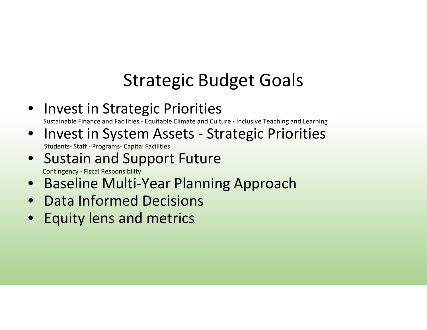## Strategic Budget Goals

• Invest in Strategic Priorities

Sustainable Finance and Facilities - Equitable Climate and Culture - Inclusive Teaching and Learning

- Invest in System Assets Strategic Priorities Students- Staff - Programs- Capital Facilities
- Sustain and Support FutureContingency - Fiscal Responsibility
- Baseline Multi-Year Planning Approach
- Data Informed Decisions
- Equity lens and metrics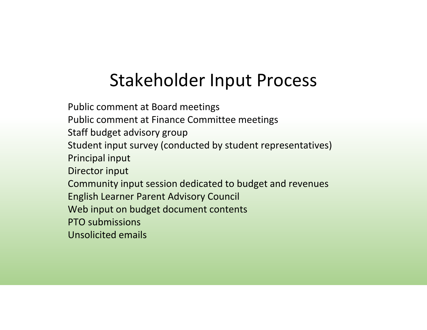### Stakeholder Input Process

Public comment at Board meetings Public comment at Finance Committee meetingsStaff budget advisory group Student input survey (conducted by student representatives)Principal inputDirector inputCommunity input session dedicated to budget and revenuesEnglish Learner Parent Advisory CouncilWeb input on budget document contentsPTO submissionsUnsolicited emails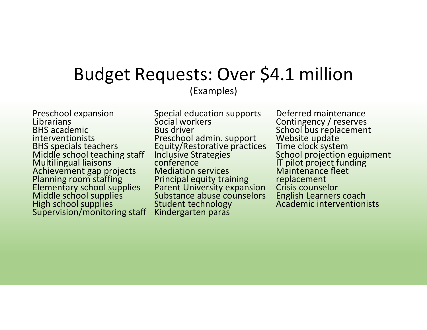### Budget Requests: Over \$4.1 million(Examples)

Preschool expansion Librarians BHS academic interventionists BHS specials teachers Middle school teaching staff Multilingual liaisons Achievement gap projects Planning room staffing Elementary school supplies Middle school supplies High school suppliesSupervision/monitoring staff Special education supports Social workersBus driver Preschool admin. support Equity/Restorative practices Inclusive Strategies conference Mediation services Principal equity training Parent University expansion Substance abuse counselorsStudent technologyKindergarten paras

Deferred maintenance Contingency / reserves School bus replacement Website update Time clock system School projection equipment IT pilot project funding Maintenance fleet replacement Crisis counselor English Learners coachAcademic interventionists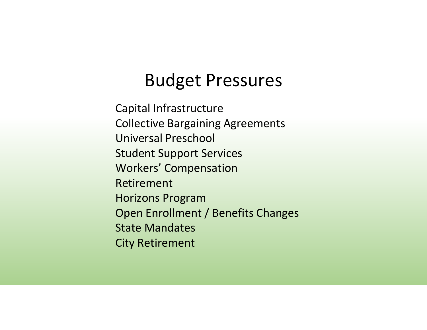### Budget Pressures

Capital Infrastructure Collective Bargaining AgreementsUniversal PreschoolStudent Support ServicesWorkers' CompensationRetirementHorizons Program Open Enrollment / Benefits ChangesState MandatesCity Retirement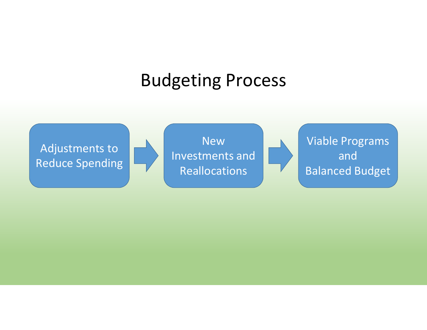### Budgeting Process

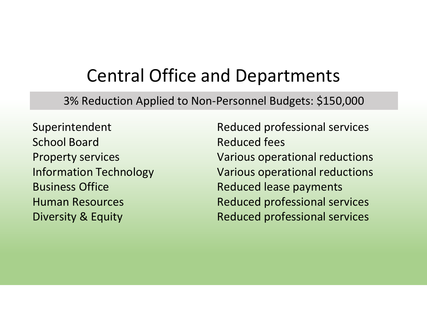### Central Office and Departments

3% Reduction Applied to Non-Personnel Budgets: \$150,000

SuperintendentSchool Board Property servicesInformation TechnologyBusiness Office Human ResourcesDiversity & Equity

Reduced professional servicesReduced feesVarious operational reductionsVarious operational reductionsReduced lease paymentsReduced professional servicesReduced professional services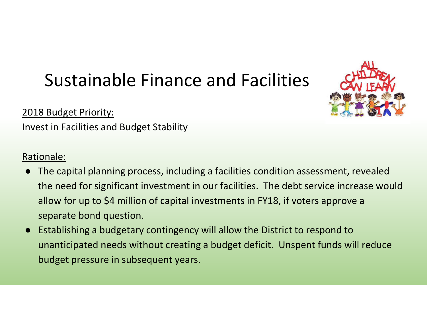### Sustainable Finance and Facilities

2018 Budget Priority:

Invest in Facilities and Budget Stability

#### Rationale:

- ● The capital planning process, including a facilities condition assessment, revealed the need for significant investment in our facilities. The debt service increase would allow for up to \$4 million of capital investments in FY18, if voters approve a separate bond question.
- ● Establishing a budgetary contingency will allow the District to respond to unanticipated needs without creating a budget deficit. Unspent funds will reduce budget pressure in subsequent years.

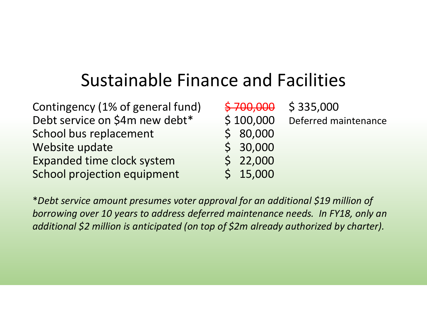### Sustainable Finance and Facilities

| Contingency (1% of general fund) | \$700,000 | \$335,000            |
|----------------------------------|-----------|----------------------|
| Debt service on \$4m new debt*   | \$100,000 | Deferred maintenance |
| School bus replacement           | \$80,000  |                      |
| Website update                   | \$30,000  |                      |
| Expanded time clock system       | \$22,000  |                      |
| School projection equipment      | \$15,000  |                      |

\**Debt service amount presumes voter approval for an additional \$19 million of borrowing over 10 years to address deferred maintenance needs. In FY18, only an additional \$2 million is anticipated (on top of \$2m already authorized by charter).*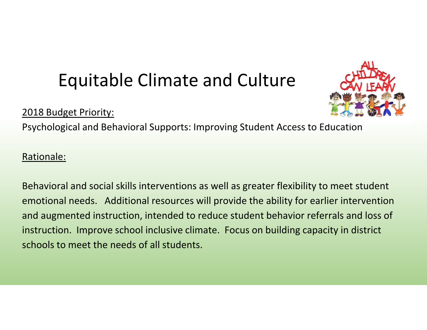### Equitable Climate and Culture

#### 2018 Budget Priority:



Psychological and Behavioral Supports: Improving Student Access to Education

#### Rationale:

Behavioral and social skills interventions as well as greater flexibility to meet student emotional needs. Additional resources will provide the ability for earlier intervention and augmented instruction, intended to reduce student behavior referrals and loss of instruction. Improve school inclusive climate. Focus on building capacity in district schools to meet the needs of all students.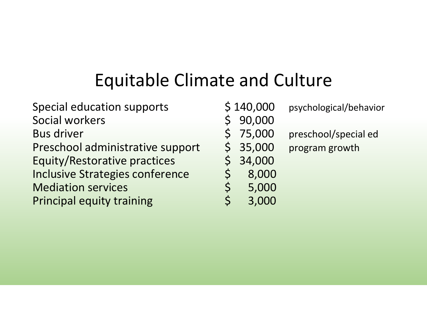## Equitable Climate and Culture

Special education supports<br>
Social workers

Social vorkers

Social education supports

Social education supports

Social education supports

Social education supports

Social education supports

Social education supports Social workers<br>
Bus driver Bus driver<br>Preschool administrative support \$ 35,000 Preschool administrative support  $\begin{array}{cc} \xi & 35,000 \\ \xi & 34,000 \\ \text{Inclusive Strategies conference} & \xi & 34,000 \\ \text{Median services} & \xi & 5,000 \\ \text{Principal equity training} & \xi & 3.000 \\ \end{array}$ Equity/Restorative practices **Inclusive Strategies conference Mediation services** Principal equity training

- psychological/behavior
- - 75,000 preschool/special ed
		- program growth
	-
	- 8,000
	- 5,000
	- 3,000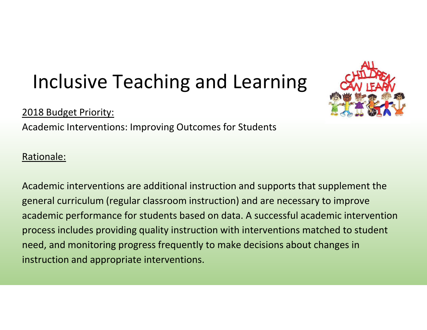## Inclusive Teaching and Learning

#### 2018 Budget Priority:

Academic Interventions: Improving Outcomes for Students

#### Rationale:

Academic interventions are additional instruction and supports that supplement the general curriculum (regular classroom instruction) and are necessary to improve academic performance for students based on data. A successful academic intervention process includes providing quality instruction with interventions matched to student need, and monitoring progress frequently to make decisions about changes in instruction and appropriate interventions.

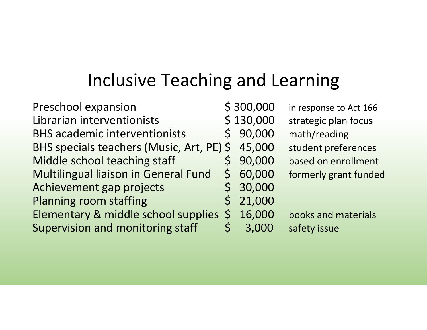### Inclusive Teaching and Learning

| <b>Preschool expansion</b>                |              | \$300,000 |
|-------------------------------------------|--------------|-----------|
| Librarian interventionists                |              | \$130,000 |
| <b>BHS academic interventionists</b>      |              | \$90,000  |
| BHS specials teachers (Music, Art, PE) \$ |              | 45,000    |
| Middle school teaching staff              |              | \$90,000  |
| Multilingual liaison in General Fund      |              | \$60,000  |
| Achievement gap projects                  |              | \$30,000  |
| <b>Planning room staffing</b>             | $\mathsf{S}$ | 21,000    |
| Elementary & middle school supplies       |              | \$16,000  |
| <b>Supervision and monitoring staff</b>   |              | 3,000     |
|                                           |              |           |

OOO in response to Act 166,<br>OOO strategic plan focus ,000 strategic plan focus<br>.000 math/reading .000 math/reading<br>.000 student prefer 000 student preferences<br>000 based on enrollment OOO based on enrollment<br>OOO formerly grant funde 000 formerly grant funded<br>000

000 books and materials<br>000 safety issue safety issue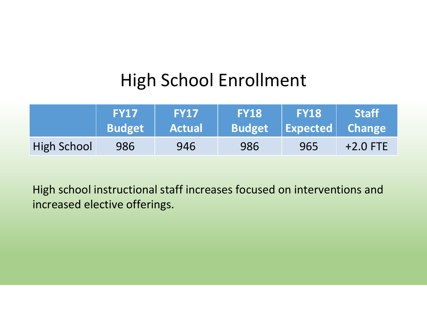### High School Enrollment

|                    | <b>FY17</b><br><b>Budget</b> | <b>FY17</b><br><b>Actual</b> | <b>FY18</b><br><b>Budget</b> | <b>FY18</b><br>$\vert\,\vert$ Expected Change | <b>Staff</b> |
|--------------------|------------------------------|------------------------------|------------------------------|-----------------------------------------------|--------------|
| <b>High School</b> | 986                          | 946                          | 986                          | 965                                           | $+2.0$ FTE   |

High school instructional staff increases focused on interventions and increased elective offerings.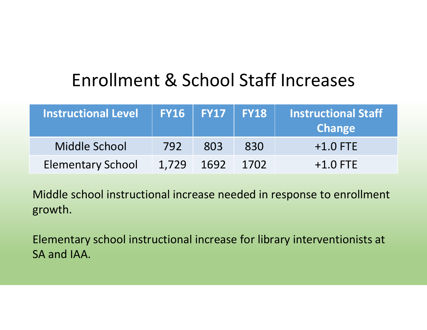### Enrollment & School Staff Increases

| Instructional Level      |       | $\mid$ FY16 $\mid$ FY17 $\mid$ FY18 |      | Instructional Staff<br><b>Change</b> |
|--------------------------|-------|-------------------------------------|------|--------------------------------------|
| Middle School            | 792   | 803                                 | 830  | $+1.0$ FTE                           |
| <b>Elementary School</b> | 1.729 | 1692                                | 1702 | $+1.0$ FTE                           |

Middle school instructional increase needed in response to enrollment growth.

Elementary school instructional increase for library interventionists at SA and IAA.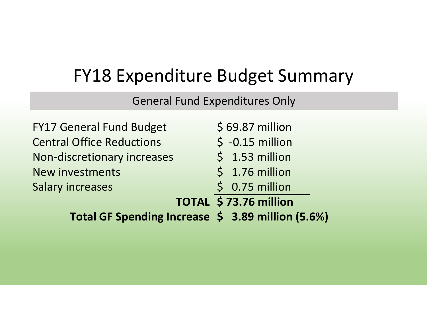### FY18 Expenditure Budget Summary

General Fund Expenditures Only

| Total GF Spending Increase \$ 3.89 million (5.6%) |                       |
|---------------------------------------------------|-----------------------|
|                                                   | TOTAL \$73.76 million |
| <b>Salary increases</b>                           | $$0.75$ million       |
| <b>New investments</b>                            | $$1.76$ million       |
| Non-discretionary increases                       | $$1.53$ million       |
| <b>Central Office Reductions</b>                  | $$ -0.15$ million     |
| <b>FY17 General Fund Budget</b>                   | $$69.87$ million      |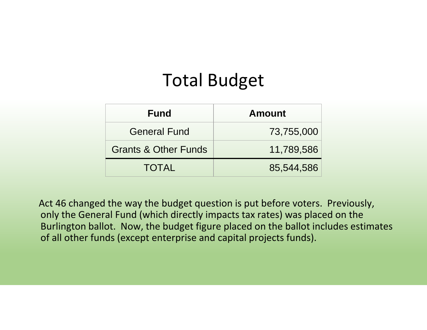### Total Budget

| <b>Fund</b>                     | <b>Amount</b> |
|---------------------------------|---------------|
| <b>General Fund</b>             | 73,755,000    |
| <b>Grants &amp; Other Funds</b> | 11,789,586    |
| <b>TOTAL</b>                    | 85,544,586    |

Act 46 changed the way the budget question is put before voters. Previously, only the General Fund (which directly impacts tax rates) was placed on the Burlington ballot. Now, the budget figure placed on the ballot includes estimates of all other funds (except enterprise and capital projects funds).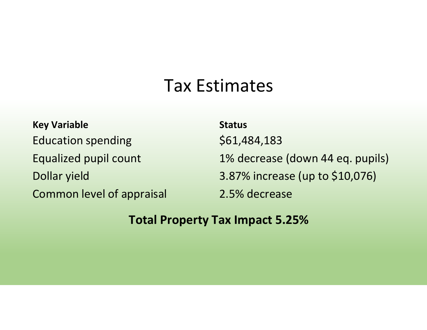### Tax Estimates

**Key Variable**Education spendingEqualized pupil countDollar yieldCommon level of appraisal

**Status**\$61,484,1831% decrease (down 44 eq. pupils)3.87% increase (up to \$10,076)2.5% decrease

### **Total Property Tax Impact 5.25%**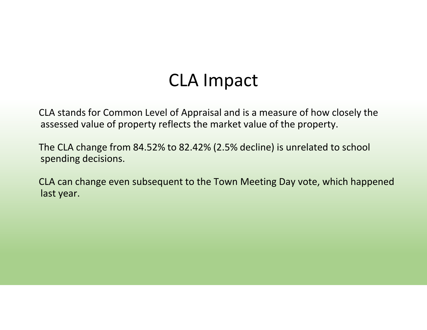### CLA Impact

CLA stands for Common Level of Appraisal and is a measure of how closely the assessed value of property reflects the market value of the property.

The CLA change from 84.52% to 82.42% (2.5% decline) is unrelated to school spending decisions.

CLA can change even subsequent to the Town Meeting Day vote, which happened last year.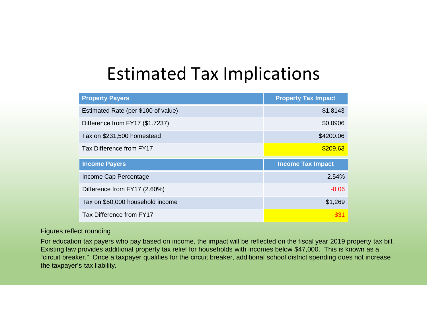### Estimated Tax Implications

| <b>Property Payers</b>              | <b>Property Tax Impact</b> |
|-------------------------------------|----------------------------|
| Estimated Rate (per \$100 of value) | \$1.8143                   |
| Difference from FY17 (\$1.7237)     | \$0.0906                   |
| Tax on \$231,500 homestead          | \$4200.06                  |
| Tax Difference from FY17            | \$209.63                   |
|                                     |                            |
| <b>Income Payers</b>                | <b>Income Tax Impact</b>   |
| Income Cap Percentage               | 2.54%                      |
| Difference from FY17 (2.60%)        | $-0.06$                    |
| Tax on \$50,000 household income    | \$1,269                    |

#### Figures reflect rounding

For education tax payers who pay based on income, the impact will be reflected on the fiscal year 2019 property tax bill. Existing law provides additional property tax relief for households with incomes below \$47,000. This is known as a "circuit breaker." Once a taxpayer qualifies for the circuit breaker, additional school district spending does not increase the taxpayer's tax liability.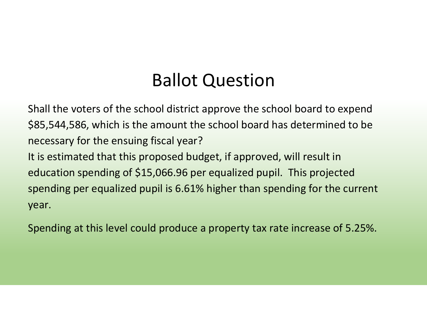### Ballot Question

Shall the voters of the school district approve the school board to expend \$85,544,586, which is the amount the school board has determined to be necessary for the ensuing fiscal year? It is estimated that this proposed budget, if approved, will result in education spending of \$15,066.96 per equalized pupil. This projected spending per equalized pupil is 6.61% higher than spending for the current year.

Spending at this level could produce a property tax rate increase of 5.25%.